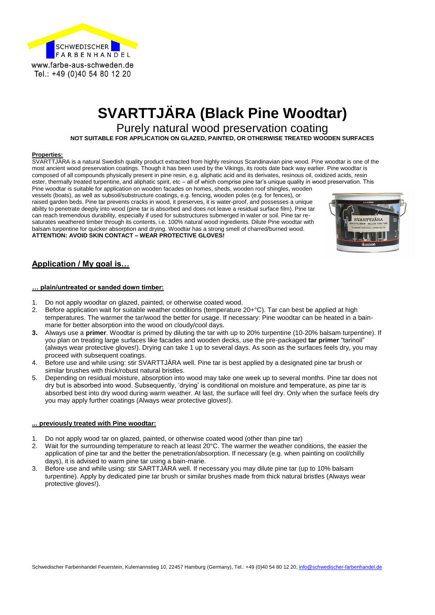

# **SVARTTJÄRA (Black Pine Woodtar)**

Purely natural wood preservation coating

**NOT SUITABLE FOR APPLICATION ON GLAZED, PAINTED, OR OTHERWISE TREATED WOODEN SURFACES**

#### **Properties:**

SVARTTJÄRA is a natural Swedish quality product extracted from highly resinous Scandinavian pine wood. Pine woodtar is one of the most ancient wood preservation coatings. Though it has been used by the Vikings, its roots date back way earlier. Pine woodtar is composed of all compounds physically present in pine resin, e.g. aliphatic acid and its derivates, resinous oil, oxidized acids, resin ester, thermally treated turpentine, and aliphatic spirit, etc – all of which comprise pine tar's unique quality in wood preservation. This Pine woodtar is suitable for application on wooden facades on homes, sheds, wooden roof shingles, wooden

vessels (boats), as well as subsoil/substructure coatings, e.g. fencing, wooden poles (e.g. for fences), or raised garden beds. Pine tar prevents cracks in wood, it preserves, it is water-proof, and possesses a unique ability to penetrate deeply into wood (pine tar is absorbed and does not leave a residual surface film). Pine tar can reach tremendous durability, especially if used for substructures submerged in water or soil. Pine tar resaturates weathered timber through its contents, i.e. 100% natural wood ingredients. Dilute Pine woodtar with balsam turpentine for quicker absorption and drying. Woodtar has a strong smell of charred/burned wood. **ATTENTION: AVOID SKIN CONTACT – WEAR PROTECTIVE GLOVES!**



## **Application / My goal is…**

#### **… plain/untreated or sanded down timber:**

- 1. Do not apply woodtar on glazed, painted, or otherwise coated wood.
- 2. Before application wait for suitable weather conditions (temperature 20+°C). Tar can best be applied at high temperatures. The warmer the tar/wood the better for usage. If necessary: Pine woodtar can be heated in a bainmarie for better absorption into the wood on cloudy/cool days.
- **3.** Always use a **primer**. Woodtar is primed by diluting the tar with up to 20% turpentine (10-20% balsam turpentine). If you plan on treating large surfaces like facades and wooden decks, use the pre-packaged **tar primer** "tarinoil" (always wear protective gloves!). Drying can take 1 up to several days. As soon as the surfaces feels dry, you may proceed with subsequent coatings.
- 4. Before use and while using: stir SVARTTJÄRA well. Pine tar is best applied by a designated pine tar brush or similar brushes with thick/robust natural bristles.
- 5. Depending on residual moisture, absorption into wood may take one week up to several months. Pine tar does not dry but is absorbed into wood. Subsequently, 'drying' is conditional on moisture and temperature, as pine tar is absorbed best into dry wood during warm weather. At last, the surface will feel dry. Only when the surface feels dry you may apply further coatings (Always wear protective gloves!).

#### **... previously treated with Pine woodtar:**

- 1. Do not apply wood tar on glazed, painted, or otherwise coated wood (other than pine tar)
- 2. Wait for the surrounding temperature to reach at least 20°C. The warmer the weather conditions, the easier the application of pine tar and the better the penetration/absorption. If necessary (e.g. when painting on cool/chilly days), it is advised to warm pine tar using a bain-marie.
- 3. Before use and while using: stir SARTTJÄRA well. If necessary you may dilute pine tar (up to 10% balsam turpentine). Apply by dedicated pine tar brush or similar brushes made from thick natural bristles (Always wear protective gloves!).